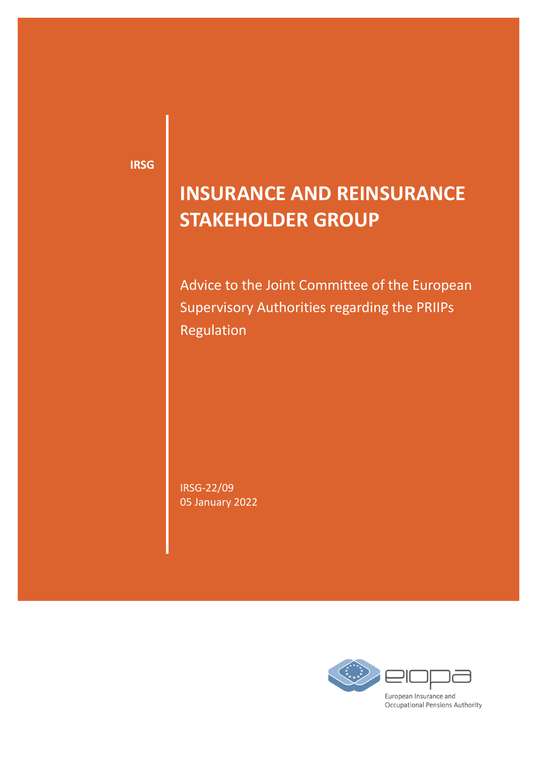**IRSG**

# **INSURANCE AND REINSURANCE STAKEHOLDER GROUP**

Advice to the Joint Committee of the European Supervisory Authorities regarding the PRIIPs Regulation

IRSG-22/09 05 January 2022

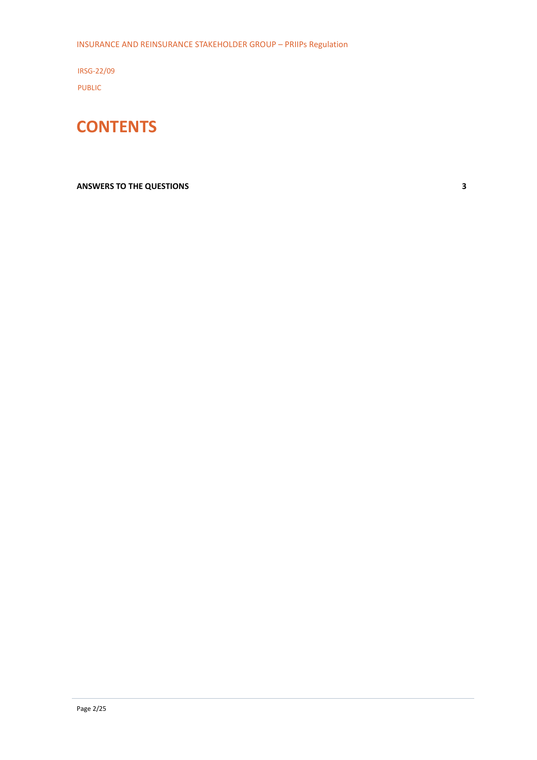INSURANCE AND REINSURANCE STAKEHOLDER GROUP – PRIIPs Regulation

IRSG-22/09 PUBLIC



#### **[ANSWERS TO THE QUESTIONS](#page-2-0) 3**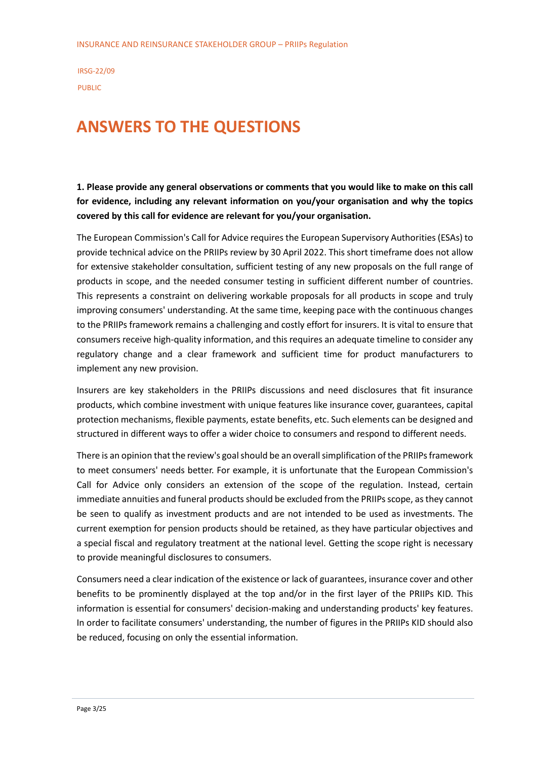## <span id="page-2-0"></span>**ANSWERS TO THE QUESTIONS**

**1. Please provide any general observations or comments that you would like to make on this call for evidence, including any relevant information on you/your organisation and why the topics covered by this call for evidence are relevant for you/your organisation.**

The European Commission's Call for Advice requires the European Supervisory Authorities (ESAs) to provide technical advice on the PRIIPs review by 30 April 2022. This short timeframe does not allow for extensive stakeholder consultation, sufficient testing of any new proposals on the full range of products in scope, and the needed consumer testing in sufficient different number of countries. This represents a constraint on delivering workable proposals for all products in scope and truly improving consumers' understanding. At the same time, keeping pace with the continuous changes to the PRIIPs framework remains a challenging and costly effort for insurers. It is vital to ensure that consumers receive high-quality information, and this requires an adequate timeline to consider any regulatory change and a clear framework and sufficient time for product manufacturers to implement any new provision.

Insurers are key stakeholders in the PRIIPs discussions and need disclosures that fit insurance products, which combine investment with unique features like insurance cover, guarantees, capital protection mechanisms, flexible payments, estate benefits, etc. Such elements can be designed and structured in different ways to offer a wider choice to consumers and respond to different needs.

There is an opinion that the review's goal should be an overall simplification of the PRIIPs framework to meet consumers' needs better. For example, it is unfortunate that the European Commission's Call for Advice only considers an extension of the scope of the regulation. Instead, certain immediate annuities and funeral products should be excluded from the PRIIPs scope, as they cannot be seen to qualify as investment products and are not intended to be used as investments. The current exemption for pension products should be retained, as they have particular objectives and a special fiscal and regulatory treatment at the national level. Getting the scope right is necessary to provide meaningful disclosures to consumers.

Consumers need a clear indication of the existence or lack of guarantees, insurance cover and other benefits to be prominently displayed at the top and/or in the first layer of the PRIIPs KID. This information is essential for consumers' decision-making and understanding products' key features. In order to facilitate consumers' understanding, the number of figures in the PRIIPs KID should also be reduced, focusing on only the essential information.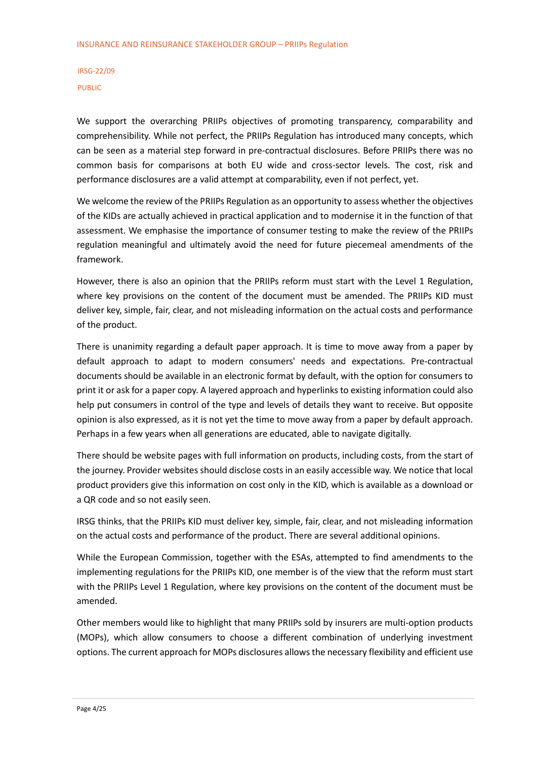We support the overarching PRIIPs objectives of promoting transparency, comparability and comprehensibility. While not perfect, the PRIIPs Regulation has introduced many concepts, which can be seen as a material step forward in pre-contractual disclosures. Before PRIIPs there was no common basis for comparisons at both EU wide and cross-sector levels. The cost, risk and performance disclosures are a valid attempt at comparability, even if not perfect, yet.

We welcome the review of the PRIIPs Regulation as an opportunity to assess whether the objectives of the KIDs are actually achieved in practical application and to modernise it in the function of that assessment. We emphasise the importance of consumer testing to make the review of the PRIIPs regulation meaningful and ultimately avoid the need for future piecemeal amendments of the framework.

However, there is also an opinion that the PRIIPs reform must start with the Level 1 Regulation, where key provisions on the content of the document must be amended. The PRIIPs KID must deliver key, simple, fair, clear, and not misleading information on the actual costs and performance of the product.

There is unanimity regarding a default paper approach. It is time to move away from a paper by default approach to adapt to modern consumers' needs and expectations. Pre-contractual documents should be available in an electronic format by default, with the option for consumers to print it or ask for a paper copy. A layered approach and hyperlinks to existing information could also help put consumers in control of the type and levels of details they want to receive. But opposite opinion is also expressed, as it is not yet the time to move away from a paper by default approach. Perhaps in a few years when all generations are educated, able to navigate digitally.

There should be website pages with full information on products, including costs, from the start of the journey. Provider websites should disclose costs in an easily accessible way. We notice that local product providers give this information on cost only in the KID, which is available as a download or a QR code and so not easily seen.

IRSG thinks, that the PRIIPs KID must deliver key, simple, fair, clear, and not misleading information on the actual costs and performance of the product. There are several additional opinions.

While the European Commission, together with the ESAs, attempted to find amendments to the implementing regulations for the PRIIPs KID, one member is of the view that the reform must start with the PRIIPs Level 1 Regulation, where key provisions on the content of the document must be amended.

Other members would like to highlight that many PRIIPs sold by insurers are multi-option products (MOPs), which allow consumers to choose a different combination of underlying investment options. The current approach for MOPs disclosures allows the necessary flexibility and efficient use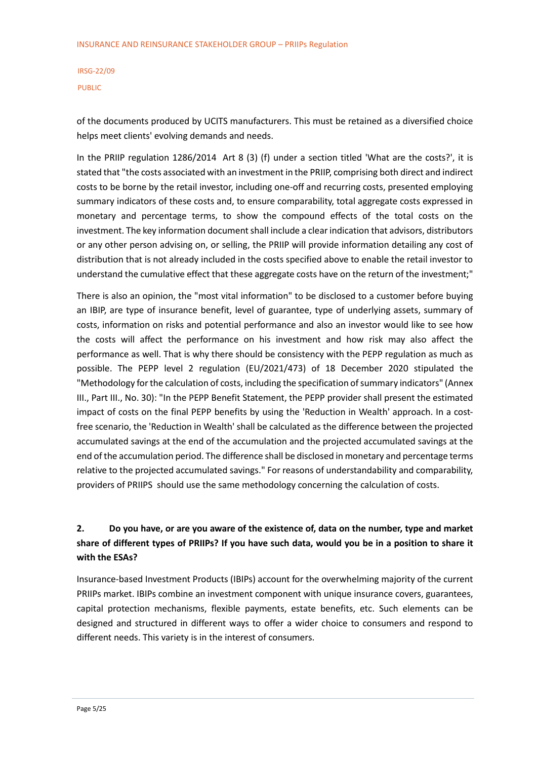of the documents produced by UCITS manufacturers. This must be retained as a diversified choice helps meet clients' evolving demands and needs.

In the PRIIP regulation 1286/2014 Art 8 (3) (f) under a section titled 'What are the costs?', it is stated that "the costs associated with an investment in the PRIIP, comprising both direct and indirect costs to be borne by the retail investor, including one-off and recurring costs, presented employing summary indicators of these costs and, to ensure comparability, total aggregate costs expressed in monetary and percentage terms, to show the compound effects of the total costs on the investment. The key information document shall include a clear indication that advisors, distributors or any other person advising on, or selling, the PRIIP will provide information detailing any cost of distribution that is not already included in the costs specified above to enable the retail investor to understand the cumulative effect that these aggregate costs have on the return of the investment;"

There is also an opinion, the "most vital information" to be disclosed to a customer before buying an IBIP, are type of insurance benefit, level of guarantee, type of underlying assets, summary of costs, information on risks and potential performance and also an investor would like to see how the costs will affect the performance on his investment and how risk may also affect the performance as well. That is why there should be consistency with the PEPP regulation as much as possible. The PEPP level 2 regulation (EU/2021/473) of 18 December 2020 stipulated the "Methodology for the calculation of costs, including the specification of summary indicators" (Annex III., Part III., No. 30): "In the PEPP Benefit Statement, the PEPP provider shall present the estimated impact of costs on the final PEPP benefits by using the 'Reduction in Wealth' approach. In a costfree scenario, the 'Reduction in Wealth' shall be calculated as the difference between the projected accumulated savings at the end of the accumulation and the projected accumulated savings at the end of the accumulation period. The difference shall be disclosed in monetary and percentage terms relative to the projected accumulated savings." For reasons of understandability and comparability, providers of PRIIPS should use the same methodology concerning the calculation of costs.

## **2. Do you have, or are you aware of the existence of, data on the number, type and market share of different types of PRIIPs? If you have such data, would you be in a position to share it with the ESAs?**

Insurance-based Investment Products (IBIPs) account for the overwhelming majority of the current PRIIPs market. IBIPs combine an investment component with unique insurance covers, guarantees, capital protection mechanisms, flexible payments, estate benefits, etc. Such elements can be designed and structured in different ways to offer a wider choice to consumers and respond to different needs. This variety is in the interest of consumers.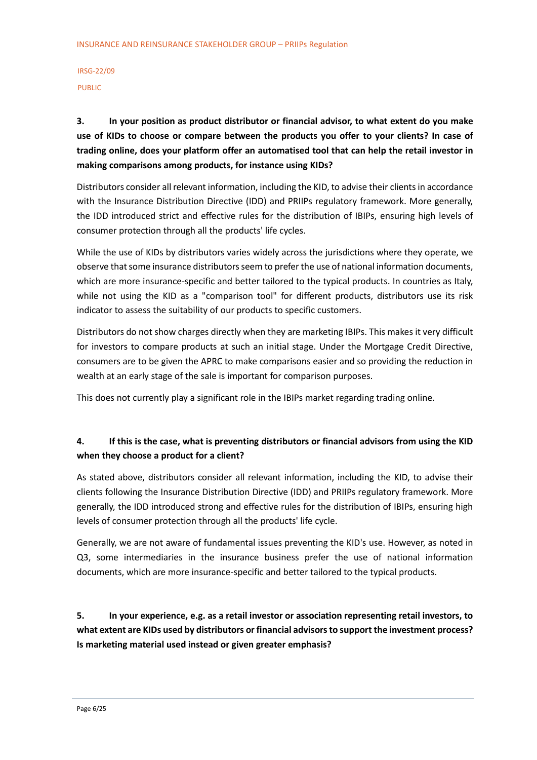## **3. In your position as product distributor or financial advisor, to what extent do you make use of KIDs to choose or compare between the products you offer to your clients? In case of trading online, does your platform offer an automatised tool that can help the retail investor in making comparisons among products, for instance using KIDs?**

Distributors consider all relevant information, including the KID, to advise their clients in accordance with the Insurance Distribution Directive (IDD) and PRIIPs regulatory framework. More generally, the IDD introduced strict and effective rules for the distribution of IBIPs, ensuring high levels of consumer protection through all the products' life cycles.

While the use of KIDs by distributors varies widely across the jurisdictions where they operate, we observe that some insurance distributors seem to prefer the use of national information documents, which are more insurance-specific and better tailored to the typical products. In countries as Italy, while not using the KID as a "comparison tool" for different products, distributors use its risk indicator to assess the suitability of our products to specific customers.

Distributors do not show charges directly when they are marketing IBIPs. This makes it very difficult for investors to compare products at such an initial stage. Under the Mortgage Credit Directive, consumers are to be given the APRC to make comparisons easier and so providing the reduction in wealth at an early stage of the sale is important for comparison purposes.

This does not currently play a significant role in the IBIPs market regarding trading online.

#### **4. If this is the case, what is preventing distributors or financial advisors from using the KID when they choose a product for a client?**

As stated above, distributors consider all relevant information, including the KID, to advise their clients following the Insurance Distribution Directive (IDD) and PRIIPs regulatory framework. More generally, the IDD introduced strong and effective rules for the distribution of IBIPs, ensuring high levels of consumer protection through all the products' life cycle.

Generally, we are not aware of fundamental issues preventing the KID's use. However, as noted in Q3, some intermediaries in the insurance business prefer the use of national information documents, which are more insurance-specific and better tailored to the typical products.

## **5. In your experience, e.g. as a retail investor or association representing retail investors, to what extent are KIDs used by distributors or financial advisors to support the investment process? Is marketing material used instead or given greater emphasis?**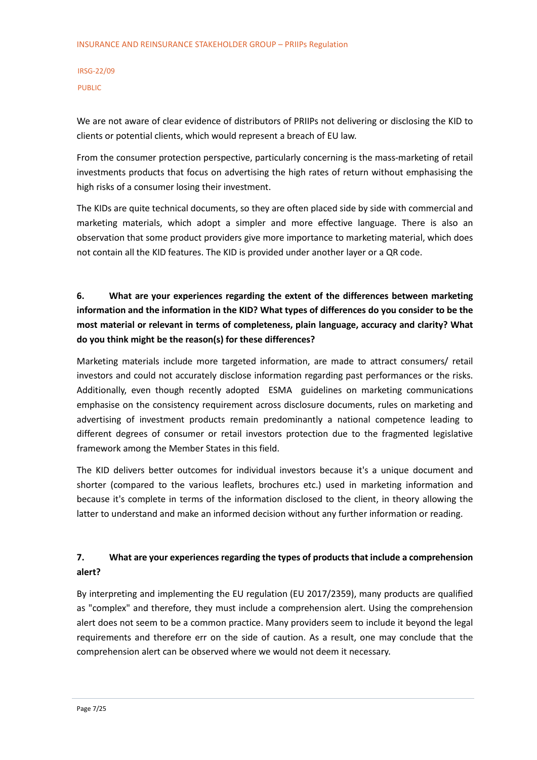We are not aware of clear evidence of distributors of PRIIPs not delivering or disclosing the KID to clients or potential clients, which would represent a breach of EU law.

From the consumer protection perspective, particularly concerning is the mass-marketing of retail investments products that focus on advertising the high rates of return without emphasising the high risks of a consumer losing their investment.

The KIDs are quite technical documents, so they are often placed side by side with commercial and marketing materials, which adopt a simpler and more effective language. There is also an observation that some product providers give more importance to marketing material, which does not contain all the KID features. The KID is provided under another layer or a QR code.

## **6. What are your experiences regarding the extent of the differences between marketing information and the information in the KID? What types of differences do you consider to be the most material or relevant in terms of completeness, plain language, accuracy and clarity? What do you think might be the reason(s) for these differences?**

Marketing materials include more targeted information, are made to attract consumers/ retail investors and could not accurately disclose information regarding past performances or the risks. Additionally, even though recently adopted ESMA guidelines on marketing communications emphasise on the consistency requirement across disclosure documents, rules on marketing and advertising of investment products remain predominantly a national competence leading to different degrees of consumer or retail investors protection due to the fragmented legislative framework among the Member States in this field.

The KID delivers better outcomes for individual investors because it's a unique document and shorter (compared to the various leaflets, brochures etc.) used in marketing information and because it's complete in terms of the information disclosed to the client, in theory allowing the latter to understand and make an informed decision without any further information or reading.

#### **7. What are your experiences regarding the types of products that include a comprehension alert?**

By interpreting and implementing the EU regulation (EU 2017/2359), many products are qualified as "complex" and therefore, they must include a comprehension alert. Using the comprehension alert does not seem to be a common practice. Many providers seem to include it beyond the legal requirements and therefore err on the side of caution. As a result, one may conclude that the comprehension alert can be observed where we would not deem it necessary.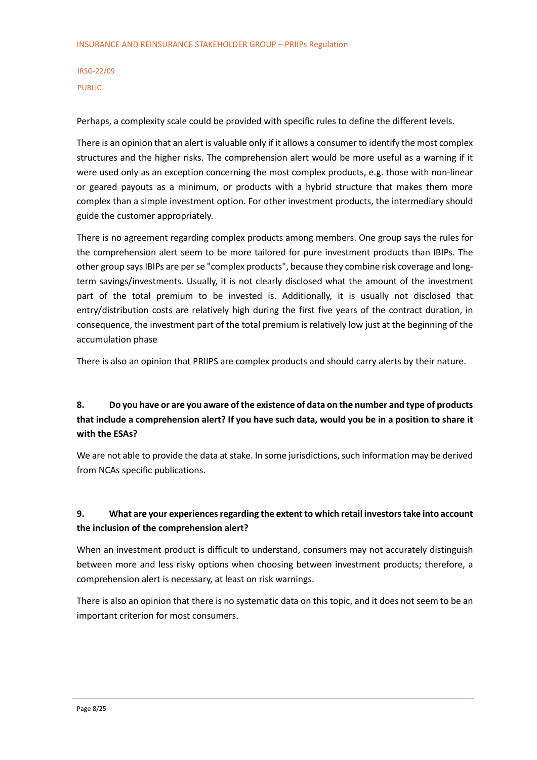Perhaps, a complexity scale could be provided with specific rules to define the different levels.

There is an opinion that an alert is valuable only if it allows a consumer to identify the most complex structures and the higher risks. The comprehension alert would be more useful as a warning if it were used only as an exception concerning the most complex products, e.g. those with non-linear or geared payouts as a minimum, or products with a hybrid structure that makes them more complex than a simple investment option. For other investment products, the intermediary should guide the customer appropriately.

There is no agreement regarding complex products among members. One group says the rules for the comprehension alert seem to be more tailored for pure investment products than IBIPs. The other group says IBIPs are per se "complex products", because they combine risk coverage and longterm savings/investments. Usually, it is not clearly disclosed what the amount of the investment part of the total premium to be invested is. Additionally, it is usually not disclosed that entry/distribution costs are relatively high during the first five years of the contract duration, in consequence, the investment part of the total premium is relatively low just at the beginning of the accumulation phase

There is also an opinion that PRIIPS are complex products and should carry alerts by their nature.

## **8. Do you have or are you aware of the existence of data on the number and type of products that include a comprehension alert? If you have such data, would you be in a position to share it with the ESAs?**

We are not able to provide the data at stake. In some jurisdictions, such information may be derived from NCAs specific publications.

#### **9. What are your experiences regarding the extent to which retail investors take into account the inclusion of the comprehension alert?**

When an investment product is difficult to understand, consumers may not accurately distinguish between more and less risky options when choosing between investment products; therefore, a comprehension alert is necessary, at least on risk warnings.

There is also an opinion that there is no systematic data on this topic, and it does not seem to be an important criterion for most consumers.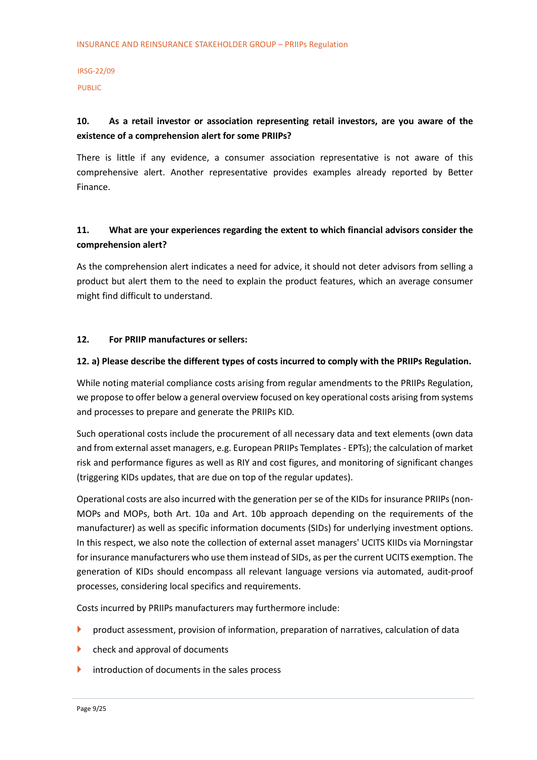## IRSG-22/09

PUBLIC

#### **10. As a retail investor or association representing retail investors, are you aware of the existence of a comprehension alert for some PRIIPs?**

There is little if any evidence, a consumer association representative is not aware of this comprehensive alert. Another representative provides examples already reported by Better Finance.

#### **11. What are your experiences regarding the extent to which financial advisors consider the comprehension alert?**

As the comprehension alert indicates a need for advice, it should not deter advisors from selling a product but alert them to the need to explain the product features, which an average consumer might find difficult to understand.

#### **12. For PRIIP manufactures or sellers:**

#### **12. a) Please describe the different types of costs incurred to comply with the PRIIPs Regulation.**

While noting material compliance costs arising from regular amendments to the PRIIPs Regulation, we propose to offer below a general overview focused on key operational costs arising from systems and processes to prepare and generate the PRIIPs KID.

Such operational costs include the procurement of all necessary data and text elements (own data and from external asset managers, e.g. European PRIIPs Templates - EPTs); the calculation of market risk and performance figures as well as RIY and cost figures, and monitoring of significant changes (triggering KIDs updates, that are due on top of the regular updates).

Operational costs are also incurred with the generation per se of the KIDs for insurance PRIIPs (non-MOPs and MOPs, both Art. 10a and Art. 10b approach depending on the requirements of the manufacturer) as well as specific information documents (SIDs) for underlying investment options. In this respect, we also note the collection of external asset managers' UCITS KIIDs via Morningstar for insurance manufacturers who use them instead of SIDs, as per the current UCITS exemption. The generation of KIDs should encompass all relevant language versions via automated, audit-proof processes, considering local specifics and requirements.

Costs incurred by PRIIPs manufacturers may furthermore include:

- **Peroduct assessment, provision of information, preparation of narratives, calculation of data**
- **check and approval of documents**
- introduction of documents in the sales process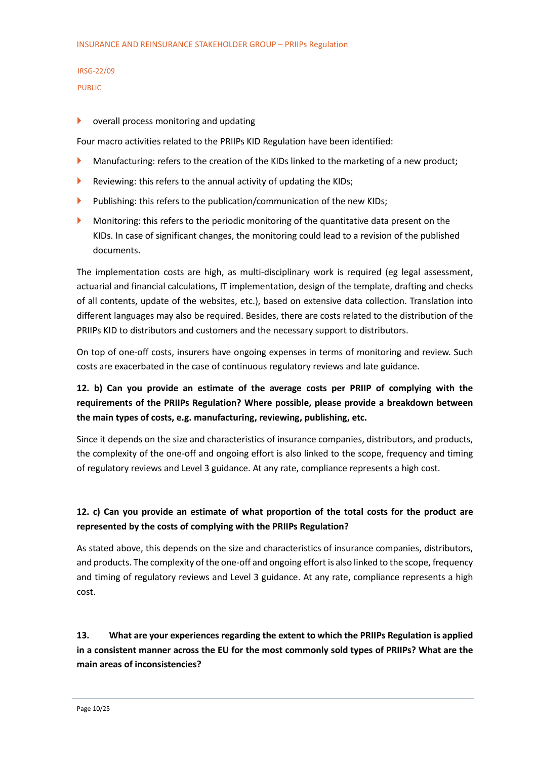## IRSG-22/09

PUBLIC

#### **D** overall process monitoring and updating

Four macro activities related to the PRIIPs KID Regulation have been identified:

- Manufacturing: refers to the creation of the KIDs linked to the marketing of a new product;
- Reviewing: this refers to the annual activity of updating the KIDs;
- Publishing: this refers to the publication/communication of the new KIDs;
- **Monitoring: this refers to the periodic monitoring of the quantitative data present on the** KIDs. In case of significant changes, the monitoring could lead to a revision of the published documents.

The implementation costs are high, as multi-disciplinary work is required (eg legal assessment, actuarial and financial calculations, IT implementation, design of the template, drafting and checks of all contents, update of the websites, etc.), based on extensive data collection. Translation into different languages may also be required. Besides, there are costs related to the distribution of the PRIIPs KID to distributors and customers and the necessary support to distributors.

On top of one-off costs, insurers have ongoing expenses in terms of monitoring and review. Such costs are exacerbated in the case of continuous regulatory reviews and late guidance.

## **12. b) Can you provide an estimate of the average costs per PRIIP of complying with the requirements of the PRIIPs Regulation? Where possible, please provide a breakdown between the main types of costs, e.g. manufacturing, reviewing, publishing, etc.**

Since it depends on the size and characteristics of insurance companies, distributors, and products, the complexity of the one-off and ongoing effort is also linked to the scope, frequency and timing of regulatory reviews and Level 3 guidance. At any rate, compliance represents a high cost.

## **12. c) Can you provide an estimate of what proportion of the total costs for the product are represented by the costs of complying with the PRIIPs Regulation?**

As stated above, this depends on the size and characteristics of insurance companies, distributors, and products. The complexity of the one-off and ongoing effort is also linked to the scope, frequency and timing of regulatory reviews and Level 3 guidance. At any rate, compliance represents a high cost.

## **13. What are your experiences regarding the extent to which the PRIIPs Regulation is applied in a consistent manner across the EU for the most commonly sold types of PRIIPs? What are the main areas of inconsistencies?**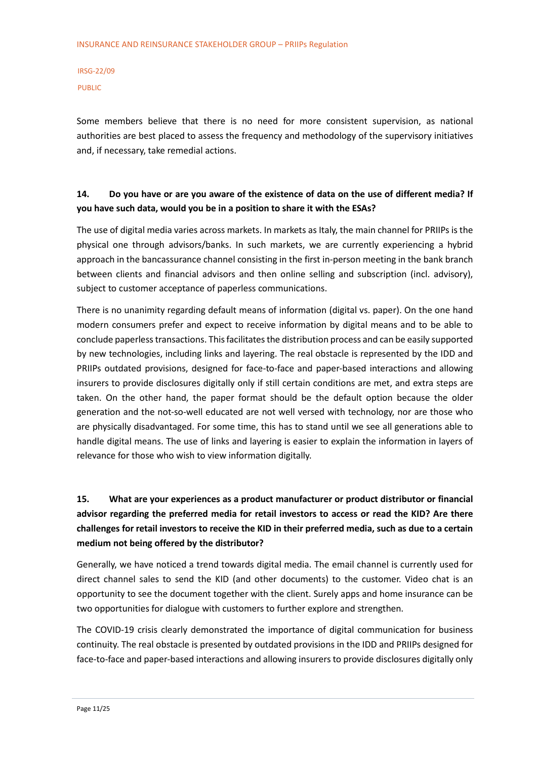Some members believe that there is no need for more consistent supervision, as national authorities are best placed to assess the frequency and methodology of the supervisory initiatives and, if necessary, take remedial actions.

#### **14. Do you have or are you aware of the existence of data on the use of different media? If you have such data, would you be in a position to share it with the ESAs?**

The use of digital media varies across markets. In markets as Italy, the main channel for PRIIPs is the physical one through advisors/banks. In such markets, we are currently experiencing a hybrid approach in the bancassurance channel consisting in the first in-person meeting in the bank branch between clients and financial advisors and then online selling and subscription (incl. advisory), subject to customer acceptance of paperless communications.

There is no unanimity regarding default means of information (digital vs. paper). On the one hand modern consumers prefer and expect to receive information by digital means and to be able to conclude paperless transactions. This facilitates the distribution process and can be easily supported by new technologies, including links and layering. The real obstacle is represented by the IDD and PRIIPs outdated provisions, designed for face-to-face and paper-based interactions and allowing insurers to provide disclosures digitally only if still certain conditions are met, and extra steps are taken. On the other hand, the paper format should be the default option because the older generation and the not-so-well educated are not well versed with technology, nor are those who are physically disadvantaged. For some time, this has to stand until we see all generations able to handle digital means. The use of links and layering is easier to explain the information in layers of relevance for those who wish to view information digitally.

## **15. What are your experiences as a product manufacturer or product distributor or financial advisor regarding the preferred media for retail investors to access or read the KID? Are there challenges for retail investors to receive the KID in their preferred media, such as due to a certain medium not being offered by the distributor?**

Generally, we have noticed a trend towards digital media. The email channel is currently used for direct channel sales to send the KID (and other documents) to the customer. Video chat is an opportunity to see the document together with the client. Surely apps and home insurance can be two opportunities for dialogue with customers to further explore and strengthen.

The COVID-19 crisis clearly demonstrated the importance of digital communication for business continuity. The real obstacle is presented by outdated provisions in the IDD and PRIIPs designed for face-to-face and paper-based interactions and allowing insurers to provide disclosures digitally only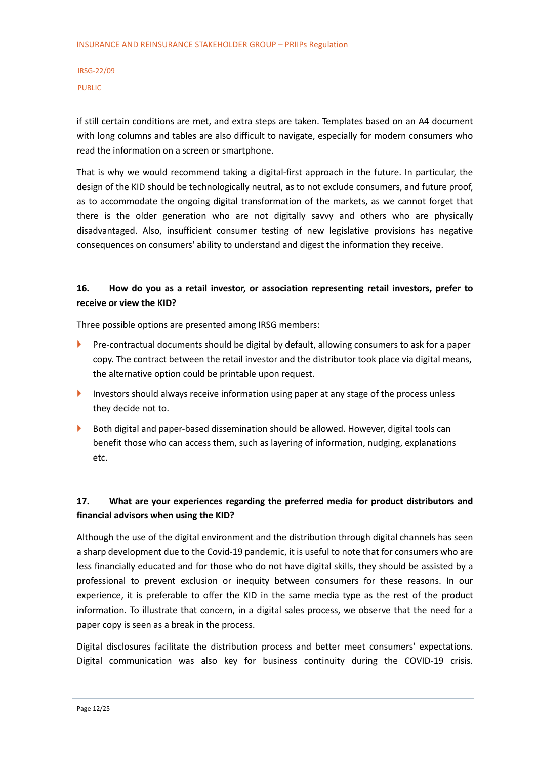if still certain conditions are met, and extra steps are taken. Templates based on an A4 document with long columns and tables are also difficult to navigate, especially for modern consumers who read the information on a screen or smartphone.

That is why we would recommend taking a digital-first approach in the future. In particular, the design of the KID should be technologically neutral, as to not exclude consumers, and future proof, as to accommodate the ongoing digital transformation of the markets, as we cannot forget that there is the older generation who are not digitally savvy and others who are physically disadvantaged. Also, insufficient consumer testing of new legislative provisions has negative consequences on consumers' ability to understand and digest the information they receive.

#### **16. How do you as a retail investor, or association representing retail investors, prefer to receive or view the KID?**

Three possible options are presented among IRSG members:

- **Pre-contractual documents should be digital by default, allowing consumers to ask for a paper** copy. The contract between the retail investor and the distributor took place via digital means, the alternative option could be printable upon request.
- Investors should always receive information using paper at any stage of the process unless they decide not to.
- Both digital and paper-based dissemination should be allowed. However, digital tools can benefit those who can access them, such as layering of information, nudging, explanations etc.

#### **17. What are your experiences regarding the preferred media for product distributors and financial advisors when using the KID?**

Although the use of the digital environment and the distribution through digital channels has seen a sharp development due to the Covid-19 pandemic, it is useful to note that for consumers who are less financially educated and for those who do not have digital skills, they should be assisted by a professional to prevent exclusion or inequity between consumers for these reasons. In our experience, it is preferable to offer the KID in the same media type as the rest of the product information. To illustrate that concern, in a digital sales process, we observe that the need for a paper copy is seen as a break in the process.

Digital disclosures facilitate the distribution process and better meet consumers' expectations. Digital communication was also key for business continuity during the COVID-19 crisis.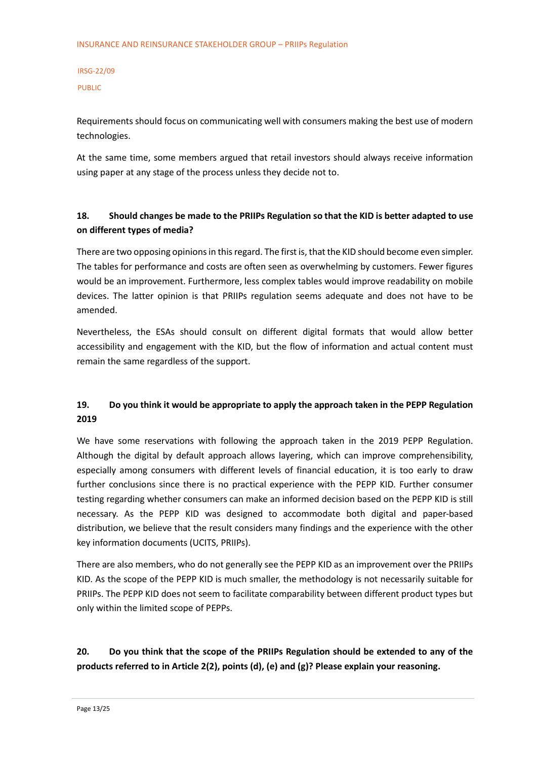Requirements should focus on communicating well with consumers making the best use of modern technologies.

At the same time, some members argued that retail investors should always receive information using paper at any stage of the process unless they decide not to.

#### **18. Should changes be made to the PRIIPs Regulation so that the KID is better adapted to use on different types of media?**

There are two opposing opinions in this regard. The first is, that the KID should become even simpler. The tables for performance and costs are often seen as overwhelming by customers. Fewer figures would be an improvement. Furthermore, less complex tables would improve readability on mobile devices. The latter opinion is that PRIIPs regulation seems adequate and does not have to be amended.

Nevertheless, the ESAs should consult on different digital formats that would allow better accessibility and engagement with the KID, but the flow of information and actual content must remain the same regardless of the support.

#### **19. Do you think it would be appropriate to apply the approach taken in the PEPP Regulation 2019**

We have some reservations with following the approach taken in the 2019 PEPP Regulation. Although the digital by default approach allows layering, which can improve comprehensibility, especially among consumers with different levels of financial education, it is too early to draw further conclusions since there is no practical experience with the PEPP KID. Further consumer testing regarding whether consumers can make an informed decision based on the PEPP KID is still necessary. As the PEPP KID was designed to accommodate both digital and paper-based distribution, we believe that the result considers many findings and the experience with the other key information documents (UCITS, PRIIPs).

There are also members, who do not generally see the PEPP KID as an improvement over the PRIIPs KID. As the scope of the PEPP KID is much smaller, the methodology is not necessarily suitable for PRIIPs. The PEPP KID does not seem to facilitate comparability between different product types but only within the limited scope of PEPPs.

#### **20. Do you think that the scope of the PRIIPs Regulation should be extended to any of the products referred to in Article 2(2), points (d), (e) and (g)? Please explain your reasoning.**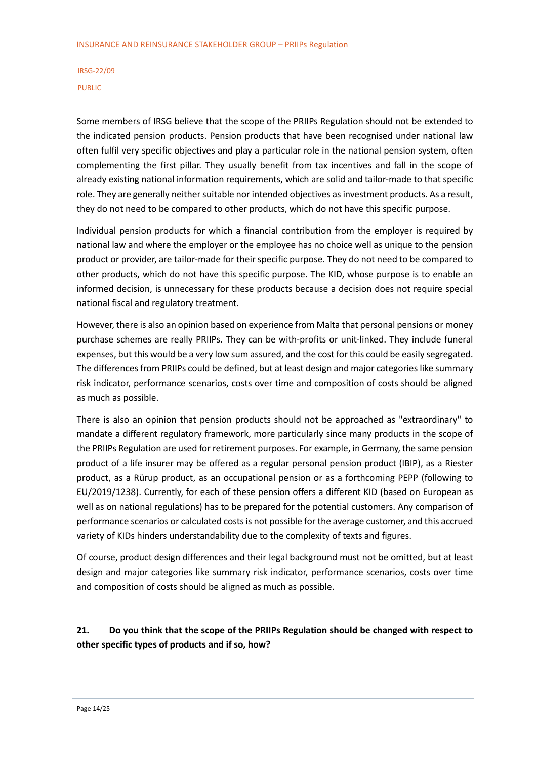Some members of IRSG believe that the scope of the PRIIPs Regulation should not be extended to the indicated pension products. Pension products that have been recognised under national law often fulfil very specific objectives and play a particular role in the national pension system, often complementing the first pillar. They usually benefit from tax incentives and fall in the scope of already existing national information requirements, which are solid and tailor-made to that specific role. They are generally neither suitable nor intended objectives as investment products. As a result, they do not need to be compared to other products, which do not have this specific purpose.

Individual pension products for which a financial contribution from the employer is required by national law and where the employer or the employee has no choice well as unique to the pension product or provider, are tailor-made for their specific purpose. They do not need to be compared to other products, which do not have this specific purpose. The KID, whose purpose is to enable an informed decision, is unnecessary for these products because a decision does not require special national fiscal and regulatory treatment.

However, there is also an opinion based on experience from Malta that personal pensions or money purchase schemes are really PRIIPs. They can be with-profits or unit-linked. They include funeral expenses, but this would be a very low sum assured, and the cost for this could be easily segregated. The differences from PRIIPs could be defined, but at least design and major categories like summary risk indicator, performance scenarios, costs over time and composition of costs should be aligned as much as possible.

There is also an opinion that pension products should not be approached as "extraordinary" to mandate a different regulatory framework, more particularly since many products in the scope of the PRIIPs Regulation are used for retirement purposes. For example, in Germany, the same pension product of a life insurer may be offered as a regular personal pension product (IBIP), as a Riester product, as a Rürup product, as an occupational pension or as a forthcoming PEPP (following to EU/2019/1238). Currently, for each of these pension offers a different KID (based on European as well as on national regulations) has to be prepared for the potential customers. Any comparison of performance scenarios or calculated costs is not possible for the average customer, and this accrued variety of KIDs hinders understandability due to the complexity of texts and figures.

Of course, product design differences and their legal background must not be omitted, but at least design and major categories like summary risk indicator, performance scenarios, costs over time and composition of costs should be aligned as much as possible.

#### **21. Do you think that the scope of the PRIIPs Regulation should be changed with respect to other specific types of products and if so, how?**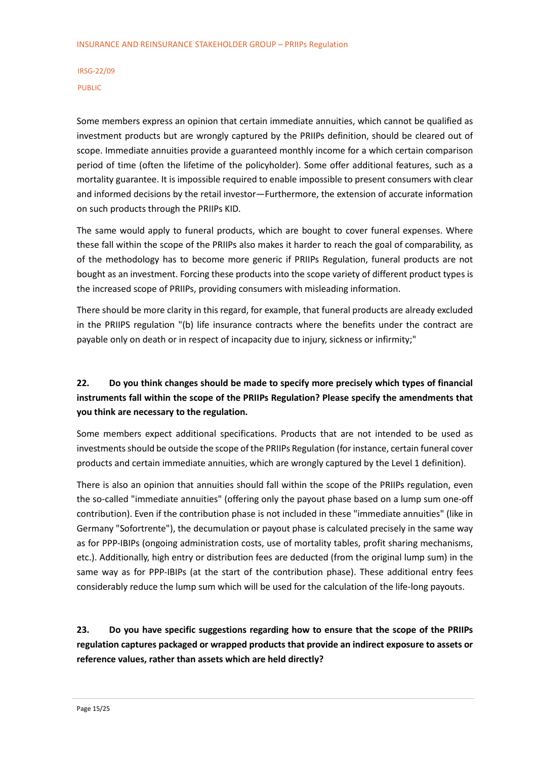Some members express an opinion that certain immediate annuities, which cannot be qualified as investment products but are wrongly captured by the PRIIPs definition, should be cleared out of scope. Immediate annuities provide a guaranteed monthly income for a which certain comparison period of time (often the lifetime of the policyholder). Some offer additional features, such as a mortality guarantee. It is impossible required to enable impossible to present consumers with clear and informed decisions by the retail investor—Furthermore, the extension of accurate information on such products through the PRIIPs KID.

The same would apply to funeral products, which are bought to cover funeral expenses. Where these fall within the scope of the PRIIPs also makes it harder to reach the goal of comparability, as of the methodology has to become more generic if PRIIPs Regulation, funeral products are not bought as an investment. Forcing these products into the scope variety of different product types is the increased scope of PRIIPs, providing consumers with misleading information.

There should be more clarity in this regard, for example, that funeral products are already excluded in the PRIIPS regulation "(b) life insurance contracts where the benefits under the contract are payable only on death or in respect of incapacity due to injury, sickness or infirmity;"

## **22. Do you think changes should be made to specify more precisely which types of financial instruments fall within the scope of the PRIIPs Regulation? Please specify the amendments that you think are necessary to the regulation.**

Some members expect additional specifications. Products that are not intended to be used as investments should be outside the scope of the PRIIPs Regulation (for instance, certain funeral cover products and certain immediate annuities, which are wrongly captured by the Level 1 definition).

There is also an opinion that annuities should fall within the scope of the PRIIPs regulation, even the so-called "immediate annuities" (offering only the payout phase based on a lump sum one-off contribution). Even if the contribution phase is not included in these "immediate annuities" (like in Germany "Sofortrente"), the decumulation or payout phase is calculated precisely in the same way as for PPP-IBIPs (ongoing administration costs, use of mortality tables, profit sharing mechanisms, etc.). Additionally, high entry or distribution fees are deducted (from the original lump sum) in the same way as for PPP-IBIPs (at the start of the contribution phase). These additional entry fees considerably reduce the lump sum which will be used for the calculation of the life-long payouts.

**23. Do you have specific suggestions regarding how to ensure that the scope of the PRIIPs regulation captures packaged or wrapped products that provide an indirect exposure to assets or reference values, rather than assets which are held directly?**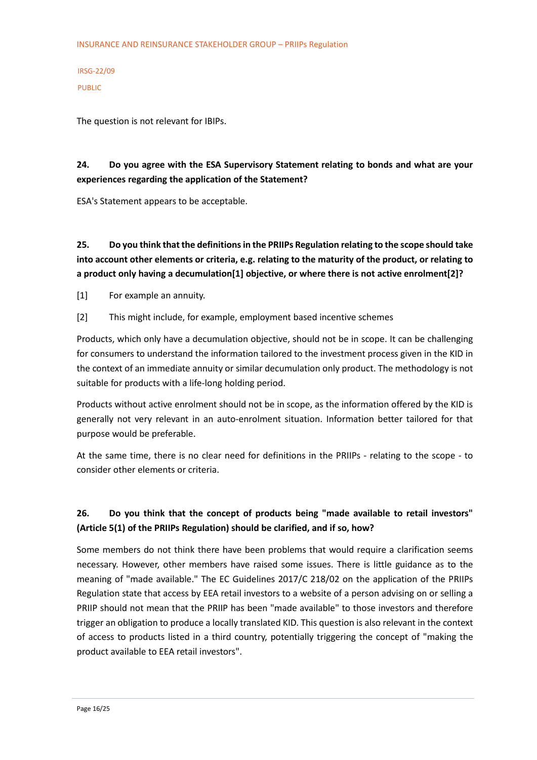The question is not relevant for IBIPs.

#### **24. Do you agree with the ESA Supervisory Statement relating to bonds and what are your experiences regarding the application of the Statement?**

ESA's Statement appears to be acceptable.

**25. Do you think that the definitions in the PRIIPs Regulation relating to the scope should take into account other elements or criteria, e.g. relating to the maturity of the product, or relating to a product only having a decumulation[1] objective, or where there is not active enrolment[2]?**

[1] For example an annuity.

[2] This might include, for example, employment based incentive schemes

Products, which only have a decumulation objective, should not be in scope. It can be challenging for consumers to understand the information tailored to the investment process given in the KID in the context of an immediate annuity or similar decumulation only product. The methodology is not suitable for products with a life-long holding period.

Products without active enrolment should not be in scope, as the information offered by the KID is generally not very relevant in an auto-enrolment situation. Information better tailored for that purpose would be preferable.

At the same time, there is no clear need for definitions in the PRIIPs - relating to the scope - to consider other elements or criteria.

## **26. Do you think that the concept of products being "made available to retail investors" (Article 5(1) of the PRIIPs Regulation) should be clarified, and if so, how?**

Some members do not think there have been problems that would require a clarification seems necessary. However, other members have raised some issues. There is little guidance as to the meaning of "made available." The EC Guidelines 2017/C 218/02 on the application of the PRIIPs Regulation state that access by EEA retail investors to a website of a person advising on or selling a PRIIP should not mean that the PRIIP has been "made available" to those investors and therefore trigger an obligation to produce a locally translated KID. This question is also relevant in the context of access to products listed in a third country, potentially triggering the concept of "making the product available to EEA retail investors".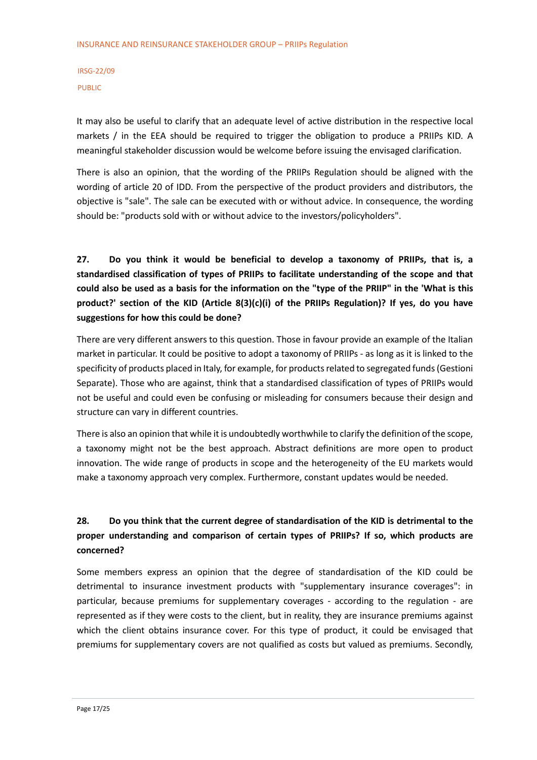It may also be useful to clarify that an adequate level of active distribution in the respective local markets / in the EEA should be required to trigger the obligation to produce a PRIIPs KID. A meaningful stakeholder discussion would be welcome before issuing the envisaged clarification.

There is also an opinion, that the wording of the PRIIPs Regulation should be aligned with the wording of article 20 of IDD. From the perspective of the product providers and distributors, the objective is "sale". The sale can be executed with or without advice. In consequence, the wording should be: "products sold with or without advice to the investors/policyholders".

**27. Do you think it would be beneficial to develop a taxonomy of PRIIPs, that is, a standardised classification of types of PRIIPs to facilitate understanding of the scope and that could also be used as a basis for the information on the "type of the PRIIP" in the 'What is this product?' section of the KID (Article 8(3)(c)(i) of the PRIIPs Regulation)? If yes, do you have suggestions for how this could be done?**

There are very different answers to this question. Those in favour provide an example of the Italian market in particular. It could be positive to adopt a taxonomy of PRIIPs - as long as it is linked to the specificity of products placed in Italy, for example, for products related to segregated funds (Gestioni Separate). Those who are against, think that a standardised classification of types of PRIIPs would not be useful and could even be confusing or misleading for consumers because their design and structure can vary in different countries.

There is also an opinion that while it is undoubtedly worthwhile to clarify the definition of the scope, a taxonomy might not be the best approach. Abstract definitions are more open to product innovation. The wide range of products in scope and the heterogeneity of the EU markets would make a taxonomy approach very complex. Furthermore, constant updates would be needed.

## **28. Do you think that the current degree of standardisation of the KID is detrimental to the proper understanding and comparison of certain types of PRIIPs? If so, which products are concerned?**

Some members express an opinion that the degree of standardisation of the KID could be detrimental to insurance investment products with "supplementary insurance coverages": in particular, because premiums for supplementary coverages - according to the regulation - are represented as if they were costs to the client, but in reality, they are insurance premiums against which the client obtains insurance cover. For this type of product, it could be envisaged that premiums for supplementary covers are not qualified as costs but valued as premiums. Secondly,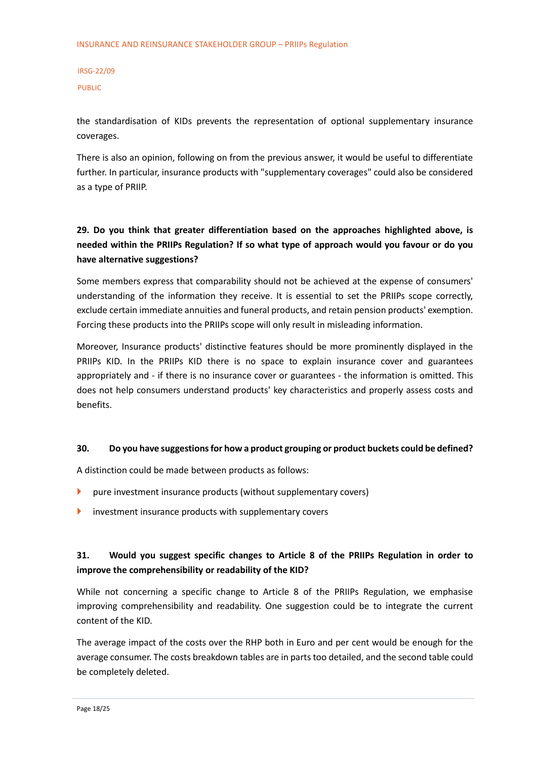the standardisation of KIDs prevents the representation of optional supplementary insurance coverages.

There is also an opinion, following on from the previous answer, it would be useful to differentiate further. In particular, insurance products with "supplementary coverages" could also be considered as a type of PRIIP.

## **29. Do you think that greater differentiation based on the approaches highlighted above, is needed within the PRIIPs Regulation? If so what type of approach would you favour or do you have alternative suggestions?**

Some members express that comparability should not be achieved at the expense of consumers' understanding of the information they receive. It is essential to set the PRIIPs scope correctly, exclude certain immediate annuities and funeral products, and retain pension products' exemption. Forcing these products into the PRIIPs scope will only result in misleading information.

Moreover, Insurance products' distinctive features should be more prominently displayed in the PRIIPs KID. In the PRIIPs KID there is no space to explain insurance cover and guarantees appropriately and - if there is no insurance cover or guarantees - the information is omitted. This does not help consumers understand products' key characteristics and properly assess costs and benefits.

#### **30. Do you have suggestions for how a product grouping or product buckets could be defined?**

A distinction could be made between products as follows:

- **P** pure investment insurance products (without supplementary covers)
- investment insurance products with supplementary covers

#### **31. Would you suggest specific changes to Article 8 of the PRIIPs Regulation in order to improve the comprehensibility or readability of the KID?**

While not concerning a specific change to Article 8 of the PRIIPs Regulation, we emphasise improving comprehensibility and readability. One suggestion could be to integrate the current content of the KID.

The average impact of the costs over the RHP both in Euro and per cent would be enough for the average consumer. The costs breakdown tables are in parts too detailed, and the second table could be completely deleted.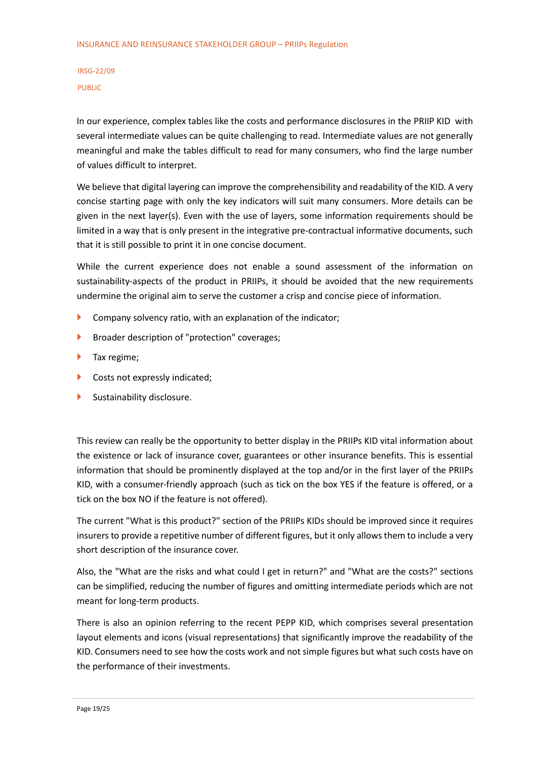In our experience, complex tables like the costs and performance disclosures in the PRIIP KID with several intermediate values can be quite challenging to read. Intermediate values are not generally meaningful and make the tables difficult to read for many consumers, who find the large number of values difficult to interpret.

We believe that digital layering can improve the comprehensibility and readability of the KID. A very concise starting page with only the key indicators will suit many consumers. More details can be given in the next layer(s). Even with the use of layers, some information requirements should be limited in a way that is only present in the integrative pre-contractual informative documents, such that it is still possible to print it in one concise document.

While the current experience does not enable a sound assessment of the information on sustainability-aspects of the product in PRIIPs, it should be avoided that the new requirements undermine the original aim to serve the customer a crisp and concise piece of information.

- $\triangleright$  Company solvency ratio, with an explanation of the indicator;
- **Broader description of "protection" coverages;**
- Tax regime;
- Costs not expressly indicated;
- Sustainability disclosure.

This review can really be the opportunity to better display in the PRIIPs KID vital information about the existence or lack of insurance cover, guarantees or other insurance benefits. This is essential information that should be prominently displayed at the top and/or in the first layer of the PRIIPs KID, with a consumer-friendly approach (such as tick on the box YES if the feature is offered, or a tick on the box NO if the feature is not offered).

The current "What is this product?" section of the PRIIPs KIDs should be improved since it requires insurers to provide a repetitive number of different figures, but it only allows them to include a very short description of the insurance cover.

Also, the "What are the risks and what could I get in return?" and "What are the costs?" sections can be simplified, reducing the number of figures and omitting intermediate periods which are not meant for long-term products.

There is also an opinion referring to the recent PEPP KID, which comprises several presentation layout elements and icons (visual representations) that significantly improve the readability of the KID. Consumers need to see how the costs work and not simple figures but what such costs have on the performance of their investments.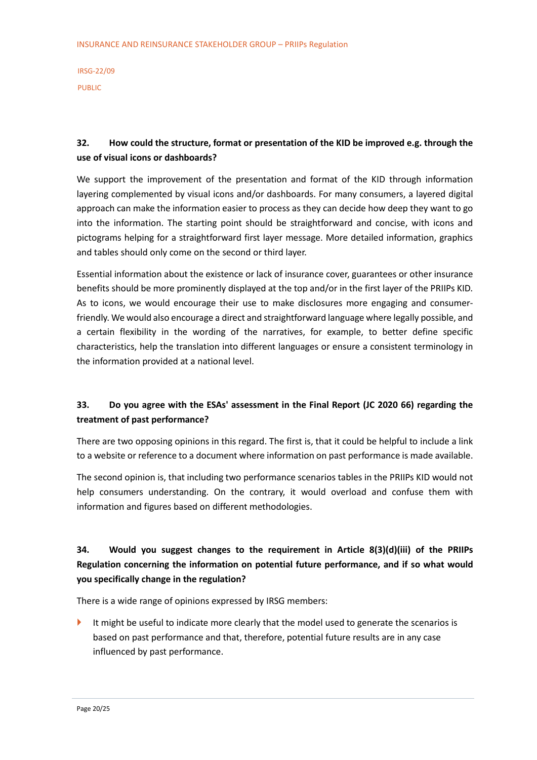#### **32. How could the structure, format or presentation of the KID be improved e.g. through the use of visual icons or dashboards?**

We support the improvement of the presentation and format of the KID through information layering complemented by visual icons and/or dashboards. For many consumers, a layered digital approach can make the information easier to process as they can decide how deep they want to go into the information. The starting point should be straightforward and concise, with icons and pictograms helping for a straightforward first layer message. More detailed information, graphics and tables should only come on the second or third layer.

Essential information about the existence or lack of insurance cover, guarantees or other insurance benefits should be more prominently displayed at the top and/or in the first layer of the PRIIPs KID. As to icons, we would encourage their use to make disclosures more engaging and consumerfriendly. We would also encourage a direct and straightforward language where legally possible, and a certain flexibility in the wording of the narratives, for example, to better define specific characteristics, help the translation into different languages or ensure a consistent terminology in the information provided at a national level.

#### **33. Do you agree with the ESAs' assessment in the Final Report (JC 2020 66) regarding the treatment of past performance?**

There are two opposing opinions in this regard. The first is, that it could be helpful to include a link to a website or reference to a document where information on past performance is made available.

The second opinion is, that including two performance scenarios tables in the PRIIPs KID would not help consumers understanding. On the contrary, it would overload and confuse them with information and figures based on different methodologies.

## **34. Would you suggest changes to the requirement in Article 8(3)(d)(iii) of the PRIIPs Regulation concerning the information on potential future performance, and if so what would you specifically change in the regulation?**

There is a wide range of opinions expressed by IRSG members:

 It might be useful to indicate more clearly that the model used to generate the scenarios is based on past performance and that, therefore, potential future results are in any case influenced by past performance.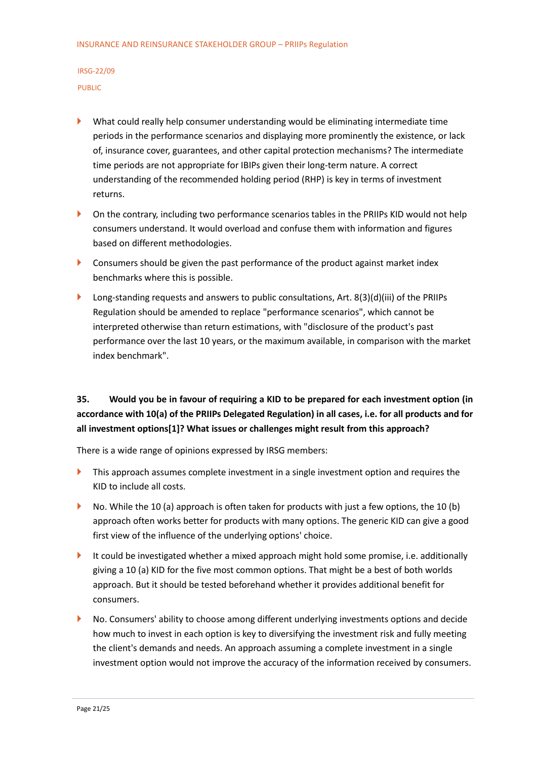- What could really help consumer understanding would be eliminating intermediate time periods in the performance scenarios and displaying more prominently the existence, or lack of, insurance cover, guarantees, and other capital protection mechanisms? The intermediate time periods are not appropriate for IBIPs given their long-term nature. A correct understanding of the recommended holding period (RHP) is key in terms of investment returns.
- **On the contrary, including two performance scenarios tables in the PRIIPs KID would not help** consumers understand. It would overload and confuse them with information and figures based on different methodologies.
- **Consumers should be given the past performance of the product against market index** benchmarks where this is possible.
- **Long-standing requests and answers to public consultations, Art. 8(3)(d)(iii) of the PRIIPs** Regulation should be amended to replace "performance scenarios", which cannot be interpreted otherwise than return estimations, with "disclosure of the product's past performance over the last 10 years, or the maximum available, in comparison with the market index benchmark".

## **35. Would you be in favour of requiring a KID to be prepared for each investment option (in accordance with 10(a) of the PRIIPs Delegated Regulation) in all cases, i.e. for all products and for all investment options[1]? What issues or challenges might result from this approach?**

There is a wide range of opinions expressed by IRSG members:

- **This approach assumes complete investment in a single investment option and requires the** KID to include all costs.
- $\triangleright$  No. While the 10 (a) approach is often taken for products with just a few options, the 10 (b) approach often works better for products with many options. The generic KID can give a good first view of the influence of the underlying options' choice.
- It could be investigated whether a mixed approach might hold some promise, i.e. additionally giving a 10 (a) KID for the five most common options. That might be a best of both worlds approach. But it should be tested beforehand whether it provides additional benefit for consumers.
- No. Consumers' ability to choose among different underlying investments options and decide how much to invest in each option is key to diversifying the investment risk and fully meeting the client's demands and needs. An approach assuming a complete investment in a single investment option would not improve the accuracy of the information received by consumers.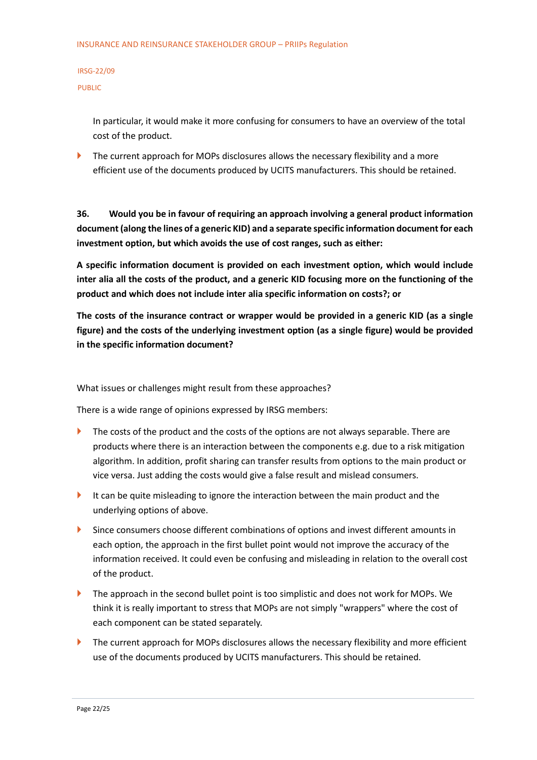In particular, it would make it more confusing for consumers to have an overview of the total cost of the product.

 $\blacktriangleright$  The current approach for MOPs disclosures allows the necessary flexibility and a more efficient use of the documents produced by UCITS manufacturers. This should be retained.

**36. Would you be in favour of requiring an approach involving a general product information document (along the lines of a generic KID) and a separate specific information document for each investment option, but which avoids the use of cost ranges, such as either:**

**A specific information document is provided on each investment option, which would include inter alia all the costs of the product, and a generic KID focusing more on the functioning of the product and which does not include inter alia specific information on costs?; or**

**The costs of the insurance contract or wrapper would be provided in a generic KID (as a single figure) and the costs of the underlying investment option (as a single figure) would be provided in the specific information document?**

What issues or challenges might result from these approaches?

There is a wide range of opinions expressed by IRSG members:

- $\blacktriangleright$  The costs of the product and the costs of the options are not always separable. There are products where there is an interaction between the components e.g. due to a risk mitigation algorithm. In addition, profit sharing can transfer results from options to the main product or vice versa. Just adding the costs would give a false result and mislead consumers.
- It can be quite misleading to ignore the interaction between the main product and the underlying options of above.
- Since consumers choose different combinations of options and invest different amounts in each option, the approach in the first bullet point would not improve the accuracy of the information received. It could even be confusing and misleading in relation to the overall cost of the product.
- The approach in the second bullet point is too simplistic and does not work for MOPs. We think it is really important to stress that MOPs are not simply "wrappers" where the cost of each component can be stated separately.
- The current approach for MOPs disclosures allows the necessary flexibility and more efficient use of the documents produced by UCITS manufacturers. This should be retained.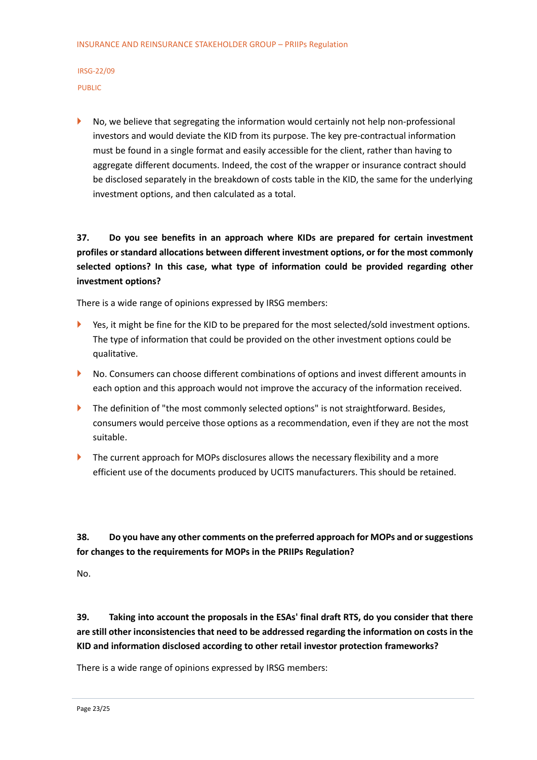No, we believe that segregating the information would certainly not help non-professional investors and would deviate the KID from its purpose. The key pre-contractual information must be found in a single format and easily accessible for the client, rather than having to aggregate different documents. Indeed, the cost of the wrapper or insurance contract should be disclosed separately in the breakdown of costs table in the KID, the same for the underlying investment options, and then calculated as a total.

## **37. Do you see benefits in an approach where KIDs are prepared for certain investment profiles or standard allocations between different investment options, or for the most commonly selected options? In this case, what type of information could be provided regarding other investment options?**

There is a wide range of opinions expressed by IRSG members:

- ▶ Yes, it might be fine for the KID to be prepared for the most selected/sold investment options. The type of information that could be provided on the other investment options could be qualitative.
- No. Consumers can choose different combinations of options and invest different amounts in each option and this approach would not improve the accuracy of the information received.
- The definition of "the most commonly selected options" is not straightforward. Besides, consumers would perceive those options as a recommendation, even if they are not the most suitable.
- The current approach for MOPs disclosures allows the necessary flexibility and a more efficient use of the documents produced by UCITS manufacturers. This should be retained.

**38. Do you have any other comments on the preferred approach for MOPs and or suggestions for changes to the requirements for MOPs in the PRIIPs Regulation?**

No.

**39. Taking into account the proposals in the ESAs' final draft RTS, do you consider that there are still other inconsistencies that need to be addressed regarding the information on costs in the KID and information disclosed according to other retail investor protection frameworks?**

There is a wide range of opinions expressed by IRSG members: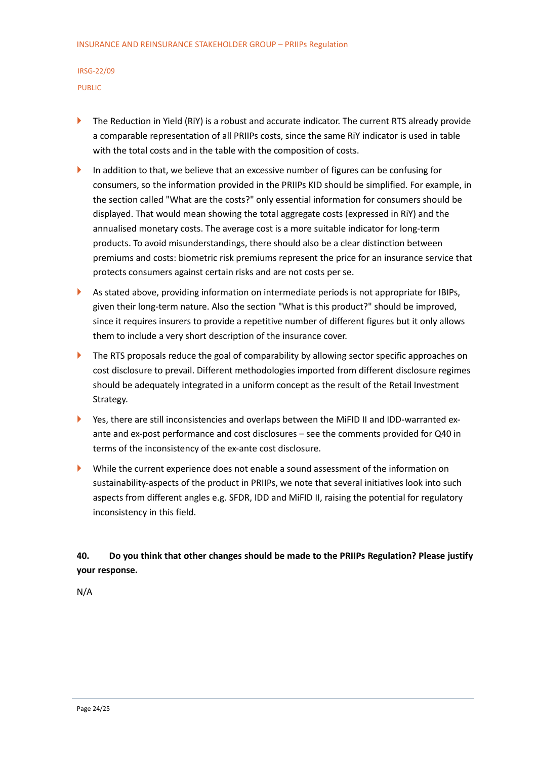- The Reduction in Yield (RiY) is a robust and accurate indicator. The current RTS already provide a comparable representation of all PRIIPs costs, since the same RiY indicator is used in table with the total costs and in the table with the composition of costs.
- In addition to that, we believe that an excessive number of figures can be confusing for consumers, so the information provided in the PRIIPs KID should be simplified. For example, in the section called "What are the costs?" only essential information for consumers should be displayed. That would mean showing the total aggregate costs (expressed in RiY) and the annualised monetary costs. The average cost is a more suitable indicator for long-term products. To avoid misunderstandings, there should also be a clear distinction between premiums and costs: biometric risk premiums represent the price for an insurance service that protects consumers against certain risks and are not costs per se.
- As stated above, providing information on intermediate periods is not appropriate for IBIPs, given their long-term nature. Also the section "What is this product?" should be improved, since it requires insurers to provide a repetitive number of different figures but it only allows them to include a very short description of the insurance cover.
- The RTS proposals reduce the goal of comparability by allowing sector specific approaches on cost disclosure to prevail. Different methodologies imported from different disclosure regimes should be adequately integrated in a uniform concept as the result of the Retail Investment Strategy.
- Yes, there are still inconsistencies and overlaps between the MiFID II and IDD-warranted exante and ex-post performance and cost disclosures – see the comments provided for Q40 in terms of the inconsistency of the ex-ante cost disclosure.
- While the current experience does not enable a sound assessment of the information on sustainability-aspects of the product in PRIIPs, we note that several initiatives look into such aspects from different angles e.g. SFDR, IDD and MiFID II, raising the potential for regulatory inconsistency in this field.

#### **40. Do you think that other changes should be made to the PRIIPs Regulation? Please justify your response.**

N/A